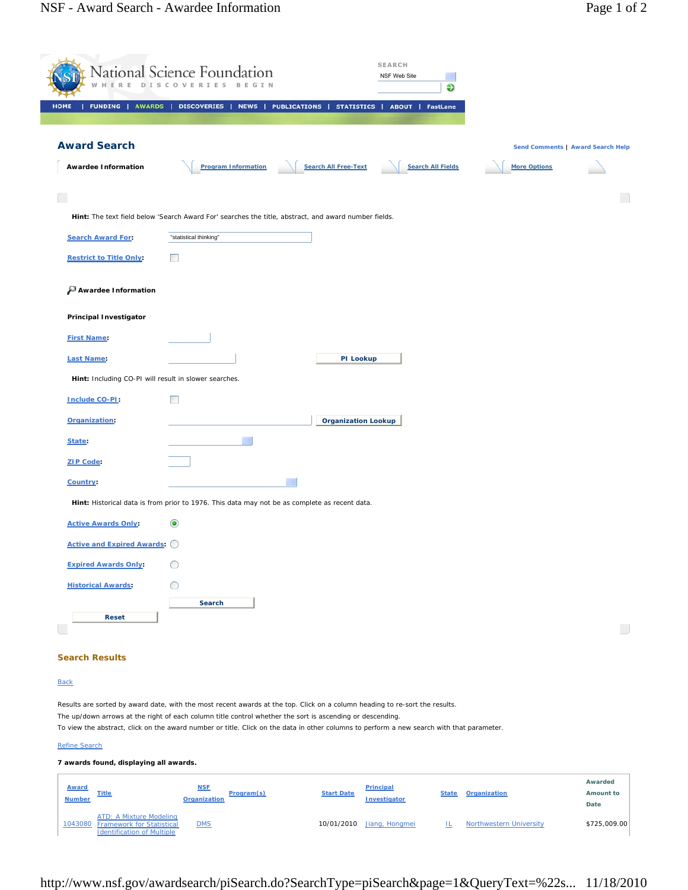|                                                                                                                    | National Science Foundation                                                                                                                                                                                                                            |                                          | <b>SEARCH</b><br>NSF Web Site<br>Ð               |                                |                                   |
|--------------------------------------------------------------------------------------------------------------------|--------------------------------------------------------------------------------------------------------------------------------------------------------------------------------------------------------------------------------------------------------|------------------------------------------|--------------------------------------------------|--------------------------------|-----------------------------------|
| <b>FUNDING   AWARDS</b><br><b>HOME</b>                                                                             | <b>DISCOVERIES</b><br><b>NEWS</b>                                                                                                                                                                                                                      | <b>PUBLICATIONS</b><br><b>STATISTICS</b> | <b>ABOUT   FastLane</b>                          |                                |                                   |
| <b>Award Search</b>                                                                                                |                                                                                                                                                                                                                                                        |                                          |                                                  |                                |                                   |
|                                                                                                                    |                                                                                                                                                                                                                                                        |                                          |                                                  |                                | Send Comments   Award Search Help |
| <b>Awardee Information</b>                                                                                         | <b>Program Information</b>                                                                                                                                                                                                                             | <b>Search All Free-Text</b>              | <b>Search All Fields</b>                         | <b>More Options</b>            |                                   |
|                                                                                                                    |                                                                                                                                                                                                                                                        |                                          |                                                  |                                | $\Box$                            |
|                                                                                                                    | Hint: The text field below 'Search Award For' searches the title, abstract, and award number fields.                                                                                                                                                   |                                          |                                                  |                                |                                   |
| <b>Search Award For:</b>                                                                                           | "statistical thinking"                                                                                                                                                                                                                                 |                                          |                                                  |                                |                                   |
| <b>Restrict to Title Only:</b>                                                                                     |                                                                                                                                                                                                                                                        |                                          |                                                  |                                |                                   |
| Awardee Information                                                                                                |                                                                                                                                                                                                                                                        |                                          |                                                  |                                |                                   |
| <b>Principal Investigator</b>                                                                                      |                                                                                                                                                                                                                                                        |                                          |                                                  |                                |                                   |
| <b>First Name:</b>                                                                                                 |                                                                                                                                                                                                                                                        |                                          |                                                  |                                |                                   |
| <b>Last Name:</b>                                                                                                  |                                                                                                                                                                                                                                                        | PI Lookup                                |                                                  |                                |                                   |
| Hint: Including CO-PI will result in slower searches.                                                              |                                                                                                                                                                                                                                                        |                                          |                                                  |                                |                                   |
| Include CO-PI:                                                                                                     |                                                                                                                                                                                                                                                        |                                          |                                                  |                                |                                   |
| Organization:                                                                                                      |                                                                                                                                                                                                                                                        | <b>Organization Lookup</b>               |                                                  |                                |                                   |
| State:                                                                                                             |                                                                                                                                                                                                                                                        |                                          |                                                  |                                |                                   |
| <b>ZIP Code:</b>                                                                                                   |                                                                                                                                                                                                                                                        |                                          |                                                  |                                |                                   |
| Country:                                                                                                           |                                                                                                                                                                                                                                                        |                                          |                                                  |                                |                                   |
|                                                                                                                    | Hint: Historical data is from prior to 1976. This data may not be as complete as recent data.                                                                                                                                                          |                                          |                                                  |                                |                                   |
| <b>Active Awards Only:</b>                                                                                         | $\circledbullet$                                                                                                                                                                                                                                       |                                          |                                                  |                                |                                   |
| <b>Active and Expired Awards: C</b>                                                                                |                                                                                                                                                                                                                                                        |                                          |                                                  |                                |                                   |
| <b>Expired Awards Only:</b>                                                                                        | O                                                                                                                                                                                                                                                      |                                          |                                                  |                                |                                   |
| <b>Historical Awards:</b>                                                                                          | C                                                                                                                                                                                                                                                      |                                          |                                                  |                                |                                   |
|                                                                                                                    | Search                                                                                                                                                                                                                                                 |                                          |                                                  |                                |                                   |
| <b>Reset</b>                                                                                                       |                                                                                                                                                                                                                                                        |                                          |                                                  |                                | $\overline{\phantom{a}}$          |
|                                                                                                                    |                                                                                                                                                                                                                                                        |                                          |                                                  |                                |                                   |
| <b>Search Results</b>                                                                                              |                                                                                                                                                                                                                                                        |                                          |                                                  |                                |                                   |
| <b>Back</b>                                                                                                        |                                                                                                                                                                                                                                                        |                                          |                                                  |                                |                                   |
|                                                                                                                    | Results are sorted by award date, with the most recent awards at the top. Click on a column heading to re-sort the results.                                                                                                                            |                                          |                                                  |                                |                                   |
|                                                                                                                    | The up/down arrows at the right of each column title control whether the sort is ascending or descending.<br>To view the abstract, click on the award number or title. Click on the data in other columns to perform a new search with that parameter. |                                          |                                                  |                                |                                   |
| <b>Refine Search</b>                                                                                               |                                                                                                                                                                                                                                                        |                                          |                                                  |                                |                                   |
| 7 awards found, displaying all awards.                                                                             |                                                                                                                                                                                                                                                        |                                          |                                                  |                                |                                   |
| <b>Award</b><br><b>Title</b><br><b>Number</b>                                                                      | <b>NSE</b><br>Program(s)<br><b>Organization</b>                                                                                                                                                                                                        | <b>Start Date</b>                        | <b>Principal</b><br><b>State</b><br>Investigator | <b>Organization</b>            | Awarded<br>Amount to              |
| <b>ATD: A Mixture Modeling</b><br><b>Framework for Statistical</b><br>1043080<br><b>Identification of Multiple</b> | $10M2$                                                                                                                                                                                                                                                 | 10/01/2010                               | Jiang, Hongmei<br>止                              | <b>Northwestern University</b> | Date<br>\$725,009.00              |

http://www.nsf.gov/awardsearch/piSearch.do?SearchType=piSearch&page=1&QueryText=%22s... 11/18/2010